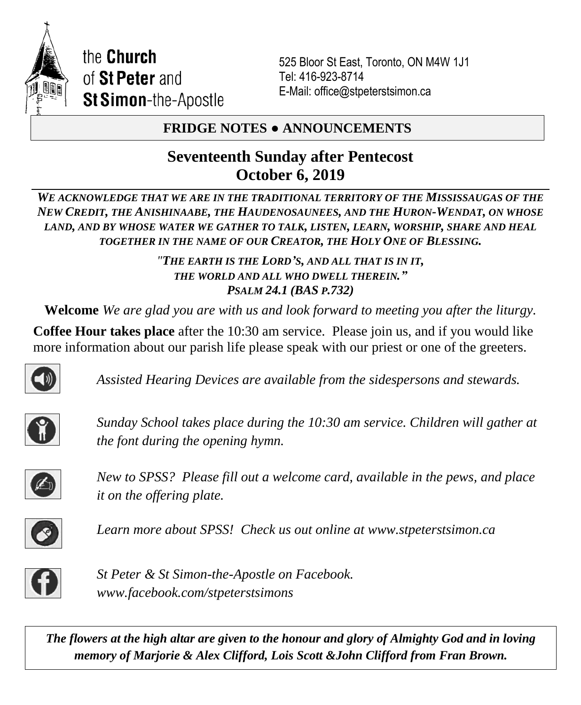

525 Bloor St East, Toronto, ON M4W 1J1 Tel: 416-923-8714 E-Mail: office@stpeterstsimon.ca

## **FRIDGE NOTES ● ANNOUNCEMENTS**

# **Seventeenth Sunday after Pentecost October 6, 2019**

*WE ACKNOWLEDGE THAT WE ARE IN THE TRADITIONAL TERRITORY OF THE MISSISSAUGAS OF THE NEW CREDIT, THE ANISHINAABE, THE HAUDENOSAUNEES, AND THE HURON-WENDAT, ON WHOSE LAND, AND BY WHOSE WATER WE GATHER TO TALK, LISTEN, LEARN, WORSHIP, SHARE AND HEAL TOGETHER IN THE NAME OF OUR CREATOR, THE HOLY ONE OF BLESSING.*

> *"THE EARTH IS THE LORD'S, AND ALL THAT IS IN IT, THE WORLD AND ALL WHO DWELL THEREIN." PSALM 24.1 (BAS P.732)*

**Welcome** *We are glad you are with us and look forward to meeting you after the liturgy.*

**Coffee Hour takes place** after the 10:30 am service. Please join us, and if you would like more information about our parish life please speak with our priest or one of the greeters.



*Assisted Hearing Devices are available from the sidespersons and stewards.*



*Sunday School takes place during the 10:30 am service. Children will gather at the font during the opening hymn.*



*New to SPSS? Please fill out a welcome card, available in the pews, and place it on the offering plate.* 



*Learn more about SPSS! Check us out online at www.stpeterstsimon.ca* 



*St Peter & St Simon-the-Apostle on Facebook. www.facebook.com/stpeterstsimons*

*The flowers at the high altar are given to the honour and glory of Almighty God and in loving memory of Marjorie & Alex Clifford, Lois Scott &John Clifford from Fran Brown.*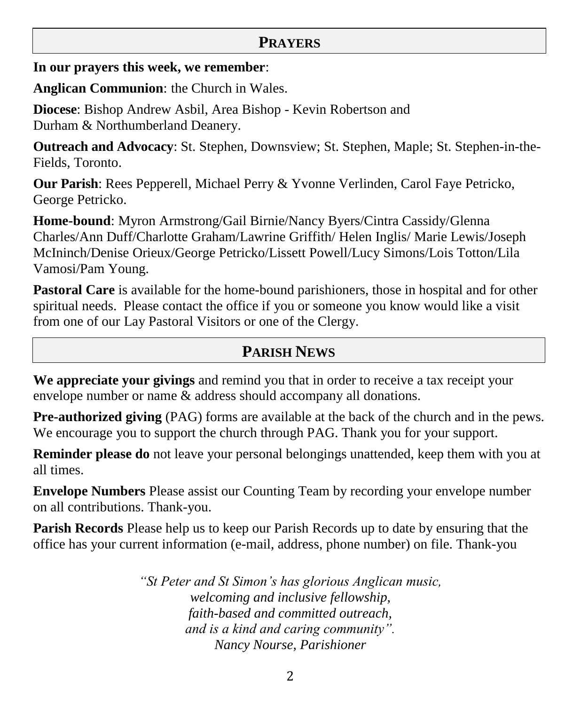### **PRAYERS**

#### **In our prayers this week, we remember**:

**Anglican Communion**: the Church in Wales.

**Diocese**: Bishop Andrew Asbil, Area Bishop - Kevin Robertson and Durham & Northumberland Deanery.

**Outreach and Advocacy**: St. Stephen, Downsview; St. Stephen, Maple; St. Stephen-in-the-Fields, Toronto.

**Our Parish**: Rees Pepperell, Michael Perry & Yvonne Verlinden, Carol Faye Petricko, George Petricko.

**Home-bound**: Myron Armstrong/Gail Birnie/Nancy Byers/Cintra Cassidy/Glenna Charles/Ann Duff/Charlotte Graham/Lawrine Griffith/ Helen Inglis/ Marie Lewis/Joseph McIninch/Denise Orieux/George Petricko/Lissett Powell/Lucy Simons/Lois Totton/Lila Vamosi/Pam Young.

**Pastoral Care** is available for the home-bound parishioners, those in hospital and for other spiritual needs. Please contact the office if you or someone you know would like a visit from one of our Lay Pastoral Visitors or one of the Clergy.

## **PARISH NEWS**

**We appreciate your givings** and remind you that in order to receive a tax receipt your envelope number or name & address should accompany all donations.

**Pre-authorized giving** (PAG) forms are available at the back of the church and in the pews. We encourage you to support the church through PAG. Thank you for your support.

**Reminder please do** not leave your personal belongings unattended, keep them with you at all times.

**Envelope Numbers** Please assist our Counting Team by recording your envelope number on all contributions. Thank-you.

**Parish Records** Please help us to keep our Parish Records up to date by ensuring that the office has your current information (e-mail, address, phone number) on file. Thank-you

> *"St Peter and St Simon's has glorious Anglican music, welcoming and inclusive fellowship, faith-based and committed outreach, and is a kind and caring community". Nancy Nourse, Parishioner*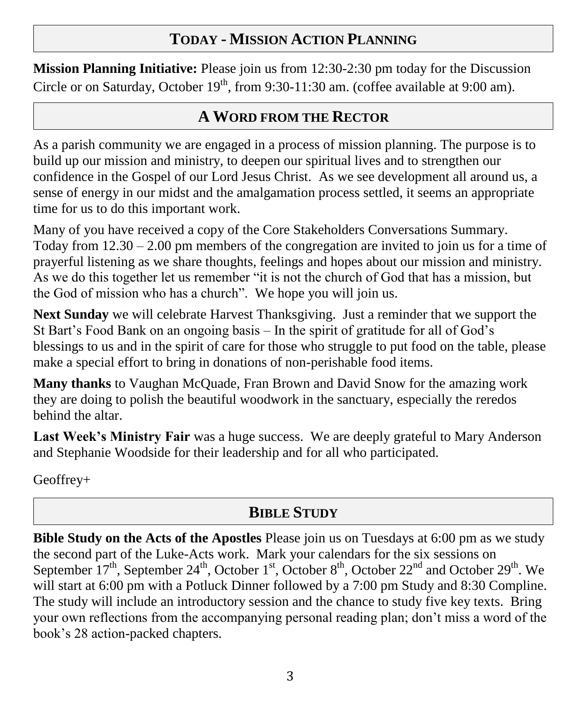# **TODAY - MISSION ACTION PLANNING**

**Mission Planning Initiative:** Please join us from 12:30-2:30 pm today for the Discussion Circle or on Saturday, October  $19<sup>th</sup>$ , from 9:30-11:30 am. (coffee available at 9:00 am).

## **A WORD FROM THE RECTOR**

As a parish community we are engaged in a process of mission planning. The purpose is to build up our mission and ministry, to deepen our spiritual lives and to strengthen our confidence in the Gospel of our Lord Jesus Christ. As we see development all around us, a sense of energy in our midst and the amalgamation process settled, it seems an appropriate time for us to do this important work.

Many of you have received a copy of the Core Stakeholders Conversations Summary. Today from  $12.30 - 2.00$  pm members of the congregation are invited to join us for a time of prayerful listening as we share thoughts, feelings and hopes about our mission and ministry. As we do this together let us remember "it is not the church of God that has a mission, but the God of mission who has a church". We hope you will join us.

**Next Sunday** we will celebrate Harvest Thanksgiving. Just a reminder that we support the St Bart's Food Bank on an ongoing basis – In the spirit of gratitude for all of God's blessings to us and in the spirit of care for those who struggle to put food on the table, please make a special effort to bring in donations of non-perishable food items.

**Many thanks** to Vaughan McQuade, Fran Brown and David Snow for the amazing work they are doing to polish the beautiful woodwork in the sanctuary, especially the reredos behind the altar.

**Last Week's Ministry Fair** was a huge success. We are deeply grateful to Mary Anderson and Stephanie Woodside for their leadership and for all who participated.

Geoffrey+

# **BIBLE STUDY**

**Bible Study on the Acts of the Apostles** Please join us on Tuesdays at 6:00 pm as we study the second part of the Luke-Acts work. Mark your calendars for the six sessions on September  $17<sup>th</sup>$ , September  $24<sup>th</sup>$ , October  $1<sup>st</sup>$ , October  $8<sup>th</sup>$ , October  $22<sup>nd</sup>$  and October  $29<sup>th</sup>$ . We will start at 6:00 pm with a Potluck Dinner followed by a 7:00 pm Study and 8:30 Compline. The study will include an introductory session and the chance to study five key texts. Bring your own reflections from the accompanying personal reading plan; don't miss a word of the book's 28 action-packed chapters.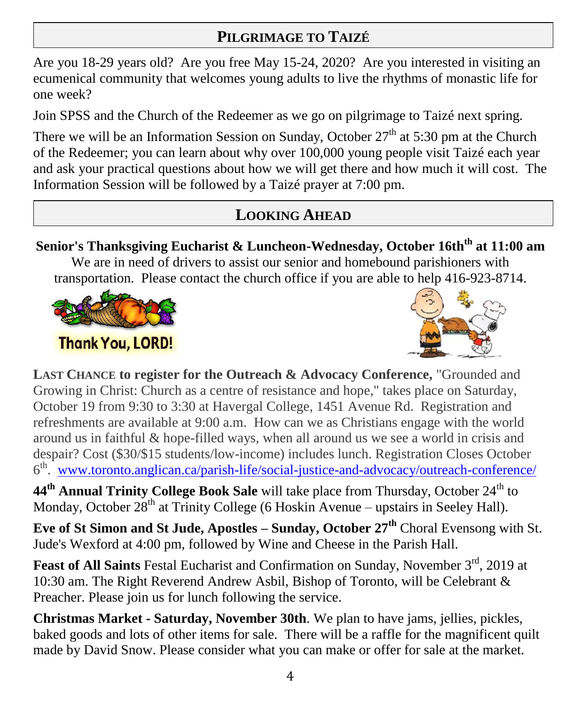# **PILGRIMAGE TO TAIZÉ**

Are you 18-29 years old? Are you free May 15-24, 2020? Are you interested in visiting an ecumenical community that welcomes young adults to live the rhythms of monastic life for one week?

Join SPSS and the Church of the Redeemer as we go on pilgrimage to Taizé next spring.

There we will be an Information Session on Sunday, October  $27<sup>th</sup>$  at 5:30 pm at the Church of the Redeemer; you can learn about why over 100,000 young people visit Taizé each year and ask your practical questions about how we will get there and how much it will cost. The Information Session will be followed by a Taizé prayer at 7:00 pm.

# **LOOKING AHEAD**

## **Senior's Thanksgiving Eucharist & Luncheon-Wednesday, October 16thth at 11:00 am**

We are in need of drivers to assist our senior and homebound parishioners with transportation. Please contact the church office if you are able to help 416-923-8714.



# **Thank You, LORD!**



**LAST CHANCE to register for the Outreach & Advocacy Conference,** "Grounded and Growing in Christ: Church as a centre of resistance and hope," takes place on Saturday, October 19 from 9:30 to 3:30 at Havergal College, 1451 Avenue Rd. Registration and refreshments are available at 9:00 a.m. How can we as Christians engage with the world around us in faithful & hope-filled ways, when all around us we see a world in crisis and despair? Cost (\$30/\$15 students/low-income) includes lunch. Registration Closes October 6<sup>th</sup>. [www.toronto.anglican.ca/parish-life/social-justice-and-advocacy/outreach-conference/](http://www.toronto.anglican.ca/parish-life/social-justice-and-advocacy/outreach-conference/)

44<sup>th</sup> **Annual Trinity College Book Sale** will take place from Thursday, October 24<sup>th</sup> to Monday, October  $28<sup>th</sup>$  at Trinity College (6 Hoskin Avenue – upstairs in Seeley Hall).

**Eve of St Simon and St Jude, Apostles – Sunday, October 27th** Choral Evensong with St. Jude's Wexford at 4:00 pm, followed by Wine and Cheese in the Parish Hall.

**Feast of All Saints** Festal Eucharist and Confirmation on Sunday, November 3<sup>rd</sup>, 2019 at 10:30 am. The Right Reverend Andrew Asbil, Bishop of Toronto, will be Celebrant & Preacher. Please join us for lunch following the service.

**Christmas Market - Saturday, November 30th**. We plan to have jams, jellies, pickles, baked goods and lots of other items for sale. There will be a raffle for the magnificent quilt made by David Snow. Please consider what you can make or offer for sale at the market.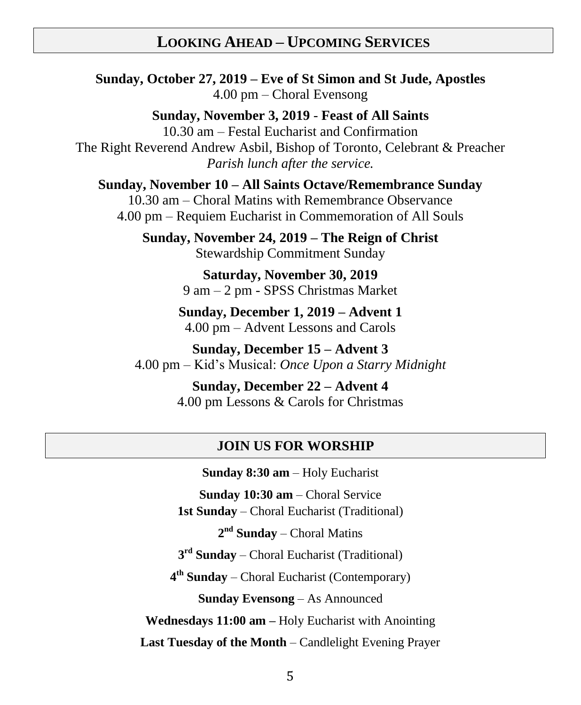### **LOOKING AHEAD – UPCOMING SERVICES**

**Sunday, October 27, 2019 – Eve of St Simon and St Jude, Apostles** 4.00 pm – Choral Evensong

**Sunday, November 3, 2019** - **Feast of All Saints** 10.30 am – Festal Eucharist and Confirmation The Right Reverend Andrew Asbil, Bishop of Toronto, Celebrant & Preacher *Parish lunch after the service.*

**Sunday, November 10 – All Saints Octave/Remembrance Sunday**

10.30 am – Choral Matins with Remembrance Observance 4.00 pm – Requiem Eucharist in Commemoration of All Souls

**Sunday, November 24, 2019 – The Reign of Christ** Stewardship Commitment Sunday

> **Saturday, November 30, 2019** 9 am – 2 pm - SPSS Christmas Market

**Sunday, December 1, 2019 – Advent 1** 4.00 pm – Advent Lessons and Carols

**Sunday, December 15 – Advent 3** 4.00 pm – Kid's Musical: *Once Upon a Starry Midnight*

> **Sunday, December 22 – Advent 4** 4.00 pm Lessons & Carols for Christmas

#### **JOIN US FOR WORSHIP**

**Sunday 8:30 am** – Holy Eucharist **Sunday 10:30 am** – Choral Service **1st Sunday** – Choral Eucharist (Traditional) 2<sup>nd</sup> Sunday – Choral Matins **3 rd Sunday** – Choral Eucharist (Traditional) **4 th Sunday** – Choral Eucharist (Contemporary) **Sunday Evensong** – As Announced **Wednesdays 11:00 am –** Holy Eucharist with Anointing **Last Tuesday of the Month** – Candlelight Evening Prayer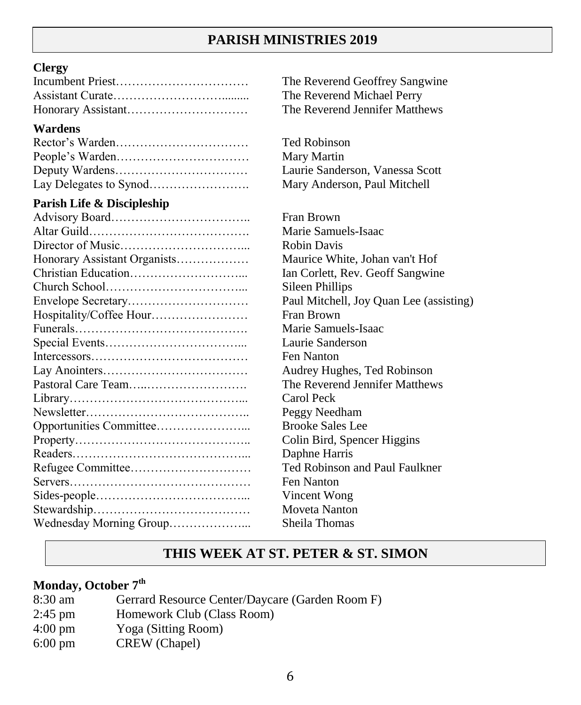### **PARISH MINISTRIES 2019**

#### **Clergy**

#### **Wardens**

#### **Parish Life & Discipleship**

The Reverend Geoffrey Sangwine The Reverend Michael Perry The Reverend Jennifer Matthews

Ted Robinson Mary Martin Laurie Sanderson, Vanessa Scott Mary Anderson, Paul Mitchell

Fran Brown Marie Samuels-Isaac Robin Davis Maurice White, Johan van't Hof Ian Corlett, Rev. Geoff Sangwine Sileen Phillips Paul Mitchell, Joy Quan Lee (assisting) Fran Brown Marie Samuels-Isaac Laurie Sanderson Fen Nanton Audrey Hughes, Ted Robinson The Reverend Jennifer Matthews Carol Peck Peggy Needham Brooke Sales Lee Colin Bird, Spencer Higgins Daphne Harris Ted Robinson and Paul Faulkner Fen Nanton **Vincent Wong** Moveta Nanton Sheila Thomas

#### **THIS WEEK AT ST. PETER & ST. SIMON**

#### **Monday, October 7th**

- 8:30 am Gerrard Resource Center/Daycare (Garden Room F)
- 2:45 pm Homework Club (Class Room)
- 4:00 pm Yoga (Sitting Room)
- 6:00 pm CREW (Chapel)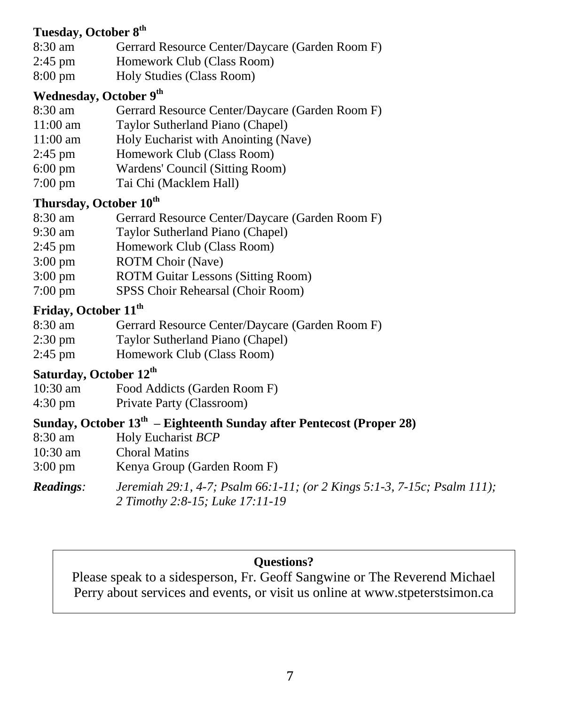#### **Tuesday, October 8 th**

- 8:30 am Gerrard Resource Center/Daycare (Garden Room F)
- 2:45 pm Homework Club (Class Room)
- 8:00 pm Holy Studies (Class Room)

#### **Wednesday, October 9 th**

- 8:30 am Gerrard Resource Center/Daycare (Garden Room F)
- 11:00 am Taylor Sutherland Piano (Chapel)
- 11:00 am Holy Eucharist with Anointing (Nave)
- 2:45 pm Homework Club (Class Room)
- 6:00 pm Wardens' Council (Sitting Room)
- 7:00 pm Tai Chi (Macklem Hall)

## **Thursday, October 10th**

- 8:30 am Gerrard Resource Center/Daycare (Garden Room F)
- 9:30 am Taylor Sutherland Piano (Chapel)
- 2:45 pm Homework Club (Class Room)
- 3:00 pm ROTM Choir (Nave)
- 3:00 pm ROTM Guitar Lessons (Sitting Room)
- 7:00 pm SPSS Choir Rehearsal (Choir Room)

### **Friday, October 11th**

- 8:30 am Gerrard Resource Center/Daycare (Garden Room F)
- 2:30 pm Taylor Sutherland Piano (Chapel)
- 2:45 pm Homework Club (Class Room)

### **Saturday, October 12th**

- 10:30 am Food Addicts (Garden Room F)
- 4:30 pm Private Party (Classroom)

### **Sunday, October 13th – Eighteenth Sunday after Pentecost (Proper 28)**

- 8:30 am Holy Eucharist *BCP*
- 10:30 am Choral Matins
- 3:00 pm Kenya Group (Garden Room F)

*Readings: Jeremiah 29:1, 4-7; Psalm 66:1-11; (or 2 Kings 5:1-3, 7-15c; Psalm 111); 2 Timothy 2:8-15; Luke 17:11-19*

#### **Questions?**

Please speak to a sidesperson, Fr. Geoff Sangwine or The Reverend Michael Perry about services and events, or visit us online at [www.stpeterstsimon.ca](http://www.stpeterstsimon.ca/)